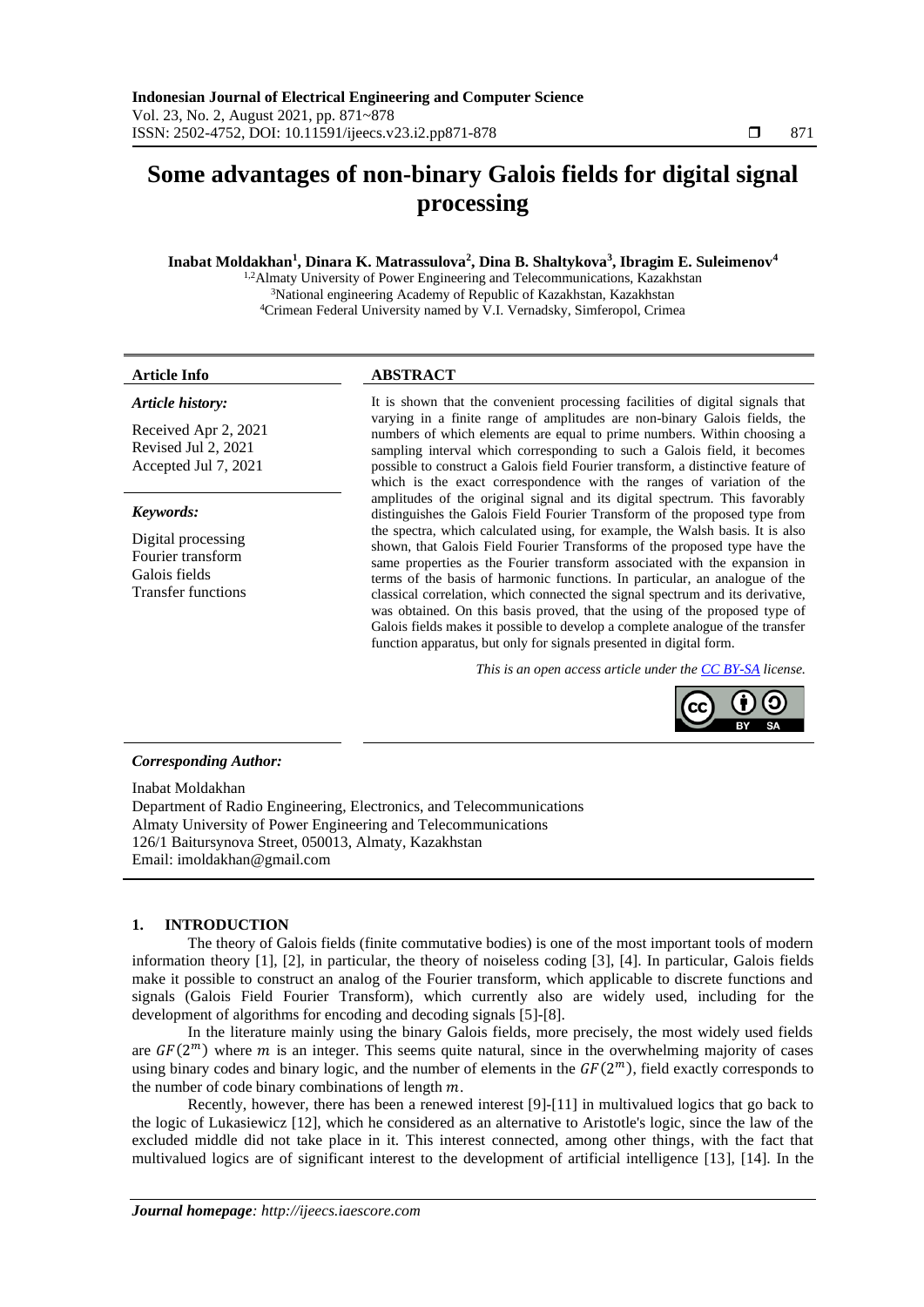# **Some advantages of non-binary Galois fields for digital signal processing**

# **Inabat Moldakhan<sup>1</sup> , Dinara K. Matrassulova<sup>2</sup> , Dina B. Shaltykova<sup>3</sup> , Ibragim E. Suleimenov<sup>4</sup>**

<sup>1,2</sup>Almaty University of Power Engineering and Telecommunications, Kazakhstan <sup>3</sup>National engineering Academy of Republic of Kazakhstan, Kazakhstan <sup>4</sup>Crimean Federal University named by V.I. Vernadsky, Simferopol, Crimea

#### *Article history:*

Received Apr 2, 2021 Revised Jul 2, 2021 Accepted Jul 7, 2021

### *Keywords:*

Digital processing Fourier transform Galois fields Transfer functions

# **Article Info ABSTRACT**

It is shown that the convenient processing facilities of digital signals that varying in a finite range of amplitudes are non-binary Galois fields, the numbers of which elements are equal to prime numbers. Within choosing a sampling interval which corresponding to such a Galois field, it becomes possible to construct a Galois field Fourier transform, a distinctive feature of which is the exact correspondence with the ranges of variation of the amplitudes of the original signal and its digital spectrum. This favorably distinguishes the Galois Field Fourier Transform of the proposed type from the spectra, which calculated using, for example, the Walsh basis. It is also shown, that Galois Field Fourier Transforms of the proposed type have the same properties as the Fourier transform associated with the expansion in terms of the basis of harmonic functions. In particular, an analogue of the classical correlation, which connected the signal spectrum and its derivative, was obtained. On this basis proved, that the using of the proposed type of Galois fields makes it possible to develop a complete analogue of the transfer function apparatus, but only for signals presented in digital form.

*This is an open access article under the [CC BY-SA](https://creativecommons.org/licenses/by-sa/4.0/) license.*



#### *Corresponding Author:*

Inabat Moldakhan Department of Radio Engineering, Electronics, and Telecommunications Almaty University of Power Engineering and Telecommunications 126/1 Baitursynova Street, 050013, Almaty, Kazakhstan Email: imoldakhan@gmail.com

# **1. INTRODUCTION**

The theory of Galois fields (finite commutative bodies) is one of the most important tools of modern information theory [1], [2], in particular, the theory of noiseless coding [3], [4]. In particular, Galois fields make it possible to construct an analog of the Fourier transform, which applicable to discrete functions and signals (Galois Field Fourier Transform), which currently also are widely used, including for the development of algorithms for encoding and decoding signals [5]-[8].

In the literature mainly using the binary Galois fields, more precisely, the most widely used fields are  $GF(2<sup>m</sup>)$  where m is an integer. This seems quite natural, since in the overwhelming majority of cases using binary codes and binary logic, and the number of elements in the  $GF(2<sup>m</sup>)$ , field exactly corresponds to the number of code binary combinations of length  $m$ .

Recently, however, there has been a renewed interest [9]-[11] in multivalued logics that go back to the logic of Lukasiewicz [12], which he considered as an alternative to Aristotle's logic, since the law of the excluded middle did not take place in it. This interest connected, among other things, with the fact that multivalued logics are of significant interest to the development of artificial intelligence [13], [14]. In the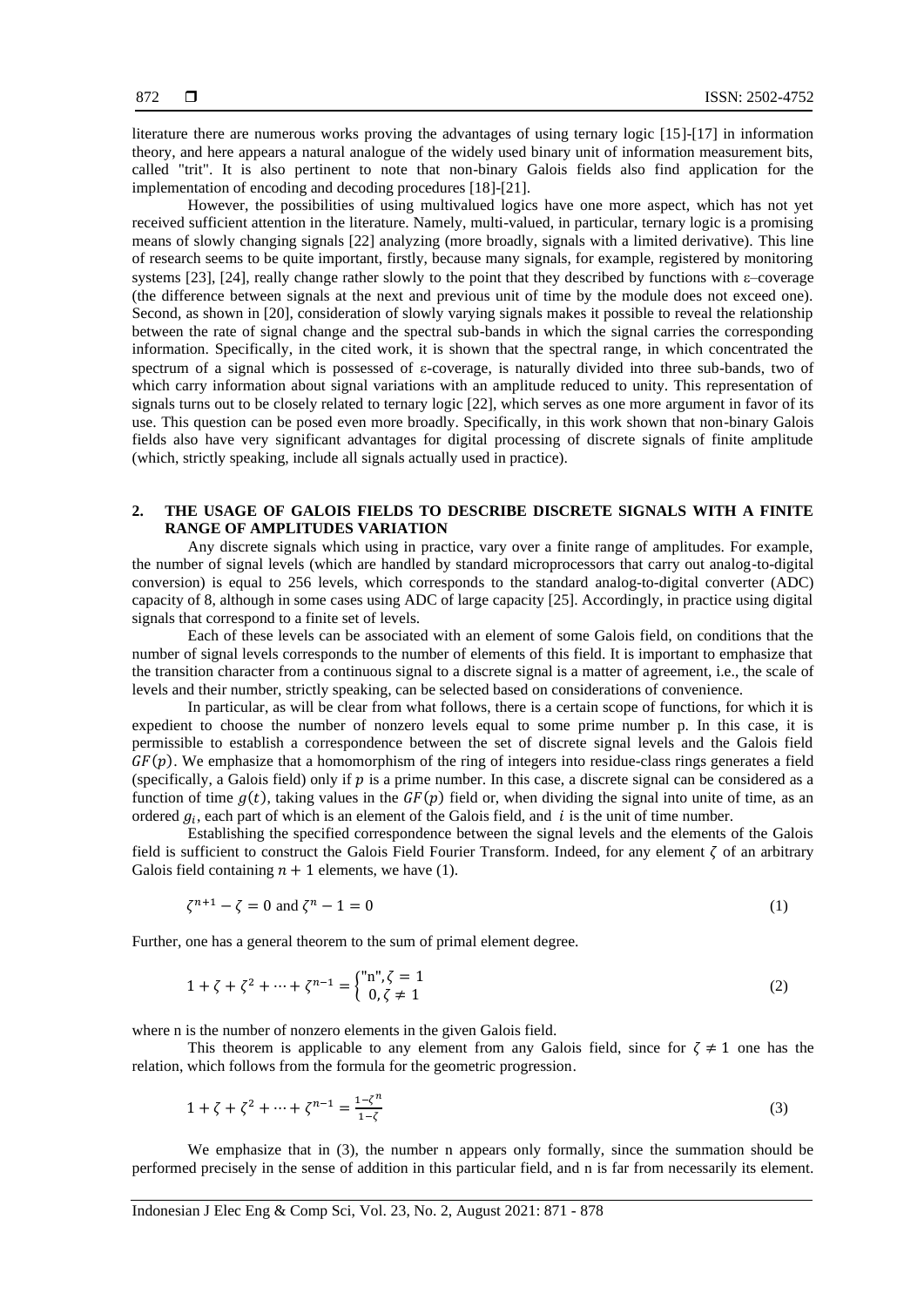literature there are numerous works proving the advantages of using ternary logic [15]-[17] in information theory, and here appears a natural analogue of the widely used binary unit of information measurement bits, called "trit". It is also pertinent to note that non-binary Galois fields also find application for the implementation of encoding and decoding procedures [18]-[21].

However, the possibilities of using multivalued logics have one more aspect, which has not yet received sufficient attention in the literature. Namely, multi-valued, in particular, ternary logic is a promising means of slowly changing signals [22] analyzing (more broadly, signals with a limited derivative). This line of research seems to be quite important, firstly, because many signals, for example, registered by monitoring systems [23], [24], really change rather slowly to the point that they described by functions with  $\varepsilon$ -coverage (the difference between signals at the next and previous unit of time by the module does not exceed one). Second, as shown in [20], consideration of slowly varying signals makes it possible to reveal the relationship between the rate of signal change and the spectral sub-bands in which the signal carries the corresponding information. Specifically, in the cited work, it is shown that the spectral range, in which concentrated the spectrum of a signal which is possessed of  $\varepsilon$ -coverage, is naturally divided into three sub-bands, two of which carry information about signal variations with an amplitude reduced to unity. This representation of signals turns out to be closely related to ternary logic [22], which serves as one more argument in favor of its use. This question can be posed even more broadly. Specifically, in this work shown that non-binary Galois fields also have very significant advantages for digital processing of discrete signals of finite amplitude (which, strictly speaking, include all signals actually used in practice).

# **2. THE USAGE OF GALOIS FIELDS TO DESCRIBE DISCRETE SIGNALS WITH A FINITE RANGE OF AMPLITUDES VARIATION**

Any discrete signals which using in practice, vary over a finite range of amplitudes. For example, the number of signal levels (which are handled by standard microprocessors that carry out analog-to-digital conversion) is equal to 256 levels, which corresponds to the standard analog-to-digital converter (ADC) capacity of 8, although in some cases using ADC of large capacity [25]. Accordingly, in practice using digital signals that correspond to a finite set of levels.

Each of these levels can be associated with an element of some Galois field, on conditions that the number of signal levels corresponds to the number of elements of this field. It is important to emphasize that the transition character from a continuous signal to a discrete signal is a matter of agreement, i.e., the scale of levels and their number, strictly speaking, can be selected based on considerations of convenience.

In particular, as will be clear from what follows, there is a certain scope of functions, for which it is expedient to choose the number of nonzero levels equal to some prime number p. In this case, it is permissible to establish a correspondence between the set of discrete signal levels and the Galois field  $GF(p)$ . We emphasize that a homomorphism of the ring of integers into residue-class rings generates a field (specifically, a Galois field) only if  $p$  is a prime number. In this case, a discrete signal can be considered as a function of time  $q(t)$ , taking values in the  $GF(p)$  field or, when dividing the signal into unite of time, as an ordered  $g_i$ , each part of which is an element of the Galois field, and i is the unit of time number.

Establishing the specified correspondence between the signal levels and the elements of the Galois field is sufficient to construct the Galois Field Fourier Transform. Indeed, for any element  $\zeta$  of an arbitrary Galois field containing  $n + 1$  elements, we have (1).

$$
\zeta^{n+1} - \zeta = 0 \text{ and } \zeta^n - 1 = 0 \tag{1}
$$

Further, one has a general theorem to the sum of primal element degree.

$$
1 + \zeta + \zeta^2 + \dots + \zeta^{n-1} = \begin{cases} \n\text{``}n\text{''}, \zeta = 1 \\ \n0, \zeta \neq 1 \n\end{cases} \tag{2}
$$

where n is the number of nonzero elements in the given Galois field.

This theorem is applicable to any element from any Galois field, since for  $\zeta \neq 1$  one has the relation, which follows from the formula for the geometric progression.

$$
1 + \zeta + \zeta^2 + \dots + \zeta^{n-1} = \frac{1 - \zeta^n}{1 - \zeta}
$$
 (3)

We emphasize that in (3), the number n appears only formally, since the summation should be performed precisely in the sense of addition in this particular field, and n is far from necessarily its element.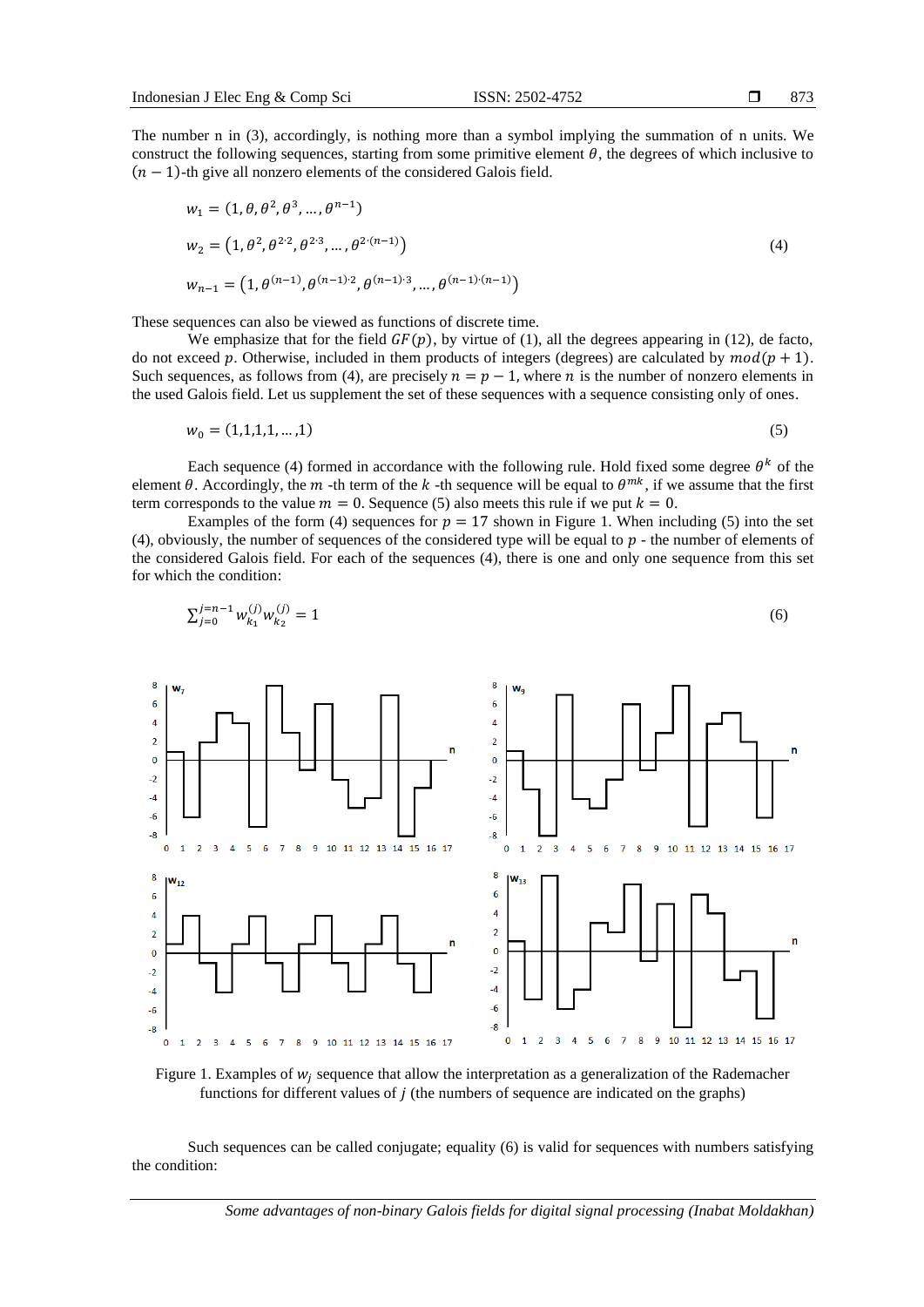The number n in (3), accordingly, is nothing more than a symbol implying the summation of n units. We construct the following sequences, starting from some primitive element  $\theta$ , the degrees of which inclusive to  $(n - 1)$ -th give all nonzero elements of the considered Galois field.

$$
w_1 = (1, \theta, \theta^2, \theta^3, \dots, \theta^{n-1})
$$
  
\n
$$
w_2 = (1, \theta^2, \theta^{2 \cdot 2}, \theta^{2 \cdot 3}, \dots, \theta^{2 \cdot (n-1)})
$$
  
\n
$$
w_{n-1} = (1, \theta^{(n-1)}, \theta^{(n-1)\cdot 2}, \theta^{(n-1)\cdot 3}, \dots, \theta^{(n-1)\cdot (n-1)})
$$
\n(4)

These sequences can also be viewed as functions of discrete time.

−<sub>1</sub>

We emphasize that for the field  $GF(p)$ , by virtue of (1), all the degrees appearing in (12), de facto, do not exceed p. Otherwise, included in them products of integers (degrees) are calculated by  $mod(p + 1)$ . Such sequences, as follows from (4), are precisely  $n = p - 1$ , where *n* is the number of nonzero elements in the used Galois field. Let us supplement the set of these sequences with a sequence consisting only of ones.

$$
w_0 = (1, 1, 1, 1, \dots, 1) \tag{5}
$$

Each sequence (4) formed in accordance with the following rule. Hold fixed some degree  $\theta^k$  of the element  $\theta$ . Accordingly, the  $m$  -th term of the  $k$  -th sequence will be equal to  $\theta^{mk}$ , if we assume that the first term corresponds to the value  $m = 0$ . Sequence (5) also meets this rule if we put  $k = 0$ .

Examples of the form (4) sequences for  $p = 17$  shown in Figure 1. When including (5) into the set (4), obviously, the number of sequences of the considered type will be equal to  $p$  - the number of elements of the considered Galois field. For each of the sequences (4), there is one and only one sequence from this set for which the condition:

$$
\sum_{j=0}^{j=n-1} w_{k_1}^{(j)} w_{k_2}^{(j)} = 1
$$
\n(6)



Figure 1. Examples of  $w_j$  sequence that allow the interpretation as a generalization of the Rademacher functions for different values of  $j$  (the numbers of sequence are indicated on the graphs)

Such sequences can be called conjugate; equality (6) is valid for sequences with numbers satisfying the condition:

*Some advantages of non-binary Galois fields for digital signal processing (Inabat Moldakhan)*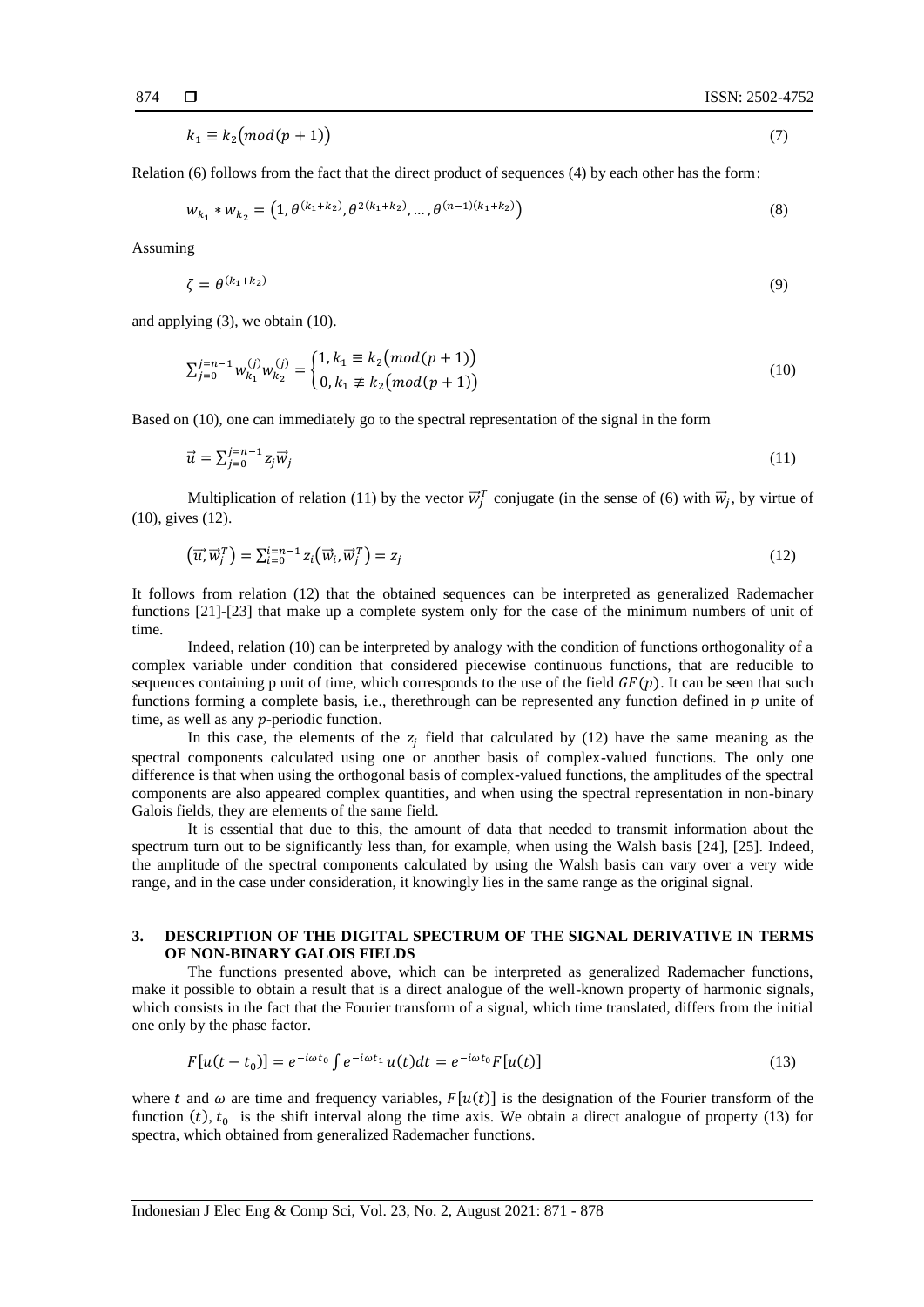$k_1 \equiv k_2 \pmod{p+1}$  (7)

Relation (6) follows from the fact that the direct product of sequences (4) by each other has the form:

$$
w_{k_1} * w_{k_2} = (1, \theta^{(k_1 + k_2)}, \theta^{2(k_1 + k_2)}, \dots, \theta^{(n-1)(k_1 + k_2)})
$$
\n(8)

Assuming

$$
\zeta = \theta^{(k_1 + k_2)}\tag{9}
$$

and applying (3), we obtain (10).

$$
\sum_{j=0}^{j=n-1} w_{k_1}^{(j)} w_{k_2}^{(j)} = \begin{cases} 1, k_1 \equiv k_2 \pmod{(p+1)} \\ 0, k_1 \not\equiv k_2 \pmod{(p+1)} \end{cases}
$$
(10)

Based on (10), one can immediately go to the spectral representation of the signal in the form

$$
\vec{u} = \sum_{j=0}^{j=n-1} z_j \vec{w}_j \tag{11}
$$

Multiplication of relation (11) by the vector  $\vec{w}_j^T$  conjugate (in the sense of (6) with  $\vec{w}_j$ , by virtue of (10), gives (12).

$$
(\overrightarrow{u}, \overrightarrow{w}_j^T) = \sum_{i=0}^{i=n-1} z_i (\overrightarrow{w}_i, \overrightarrow{w}_j^T) = z_j
$$
\n(12)

It follows from relation (12) that the obtained sequences can be interpreted as generalized Rademacher functions [21]-[23] that make up a complete system only for the case of the minimum numbers of unit of time.

Indeed, relation (10) can be interpreted by analogy with the condition of functions orthogonality of a complex variable under condition that considered piecewise continuous functions, that are reducible to sequences containing p unit of time, which corresponds to the use of the field  $GF(p)$ . It can be seen that such functions forming a complete basis, i.e., therethrough can be represented any function defined in  $p$  unite of time, as well as any  $p$ -periodic function.

In this case, the elements of the  $z_j$  field that calculated by (12) have the same meaning as the spectral components calculated using one or another basis of complex-valued functions. The only one difference is that when using the orthogonal basis of complex-valued functions, the amplitudes of the spectral components are also appeared complex quantities, and when using the spectral representation in non-binary Galois fields, they are elements of the same field.

It is essential that due to this, the amount of data that needed to transmit information about the spectrum turn out to be significantly less than, for example, when using the Walsh basis [24], [25]. Indeed, the amplitude of the spectral components calculated by using the Walsh basis can vary over a very wide range, and in the case under consideration, it knowingly lies in the same range as the original signal.

### **3. DESCRIPTION OF THE DIGITAL SPECTRUM OF THE SIGNAL DERIVATIVE IN TERMS OF NON-BINARY GALOIS FIELDS**

The functions presented above, which can be interpreted as generalized Rademacher functions, make it possible to obtain a result that is a direct analogue of the well-known property of harmonic signals, which consists in the fact that the Fourier transform of a signal, which time translated, differs from the initial one only by the phase factor.

$$
F[u(t - t_0)] = e^{-i\omega t_0} \int e^{-i\omega t_1} u(t) dt = e^{-i\omega t_0} F[u(t)] \tag{13}
$$

where t and  $\omega$  are time and frequency variables,  $F[u(t)]$  is the designation of the Fourier transform of the function  $(t)$ ,  $t_0$  is the shift interval along the time axis. We obtain a direct analogue of property (13) for spectra, which obtained from generalized Rademacher functions.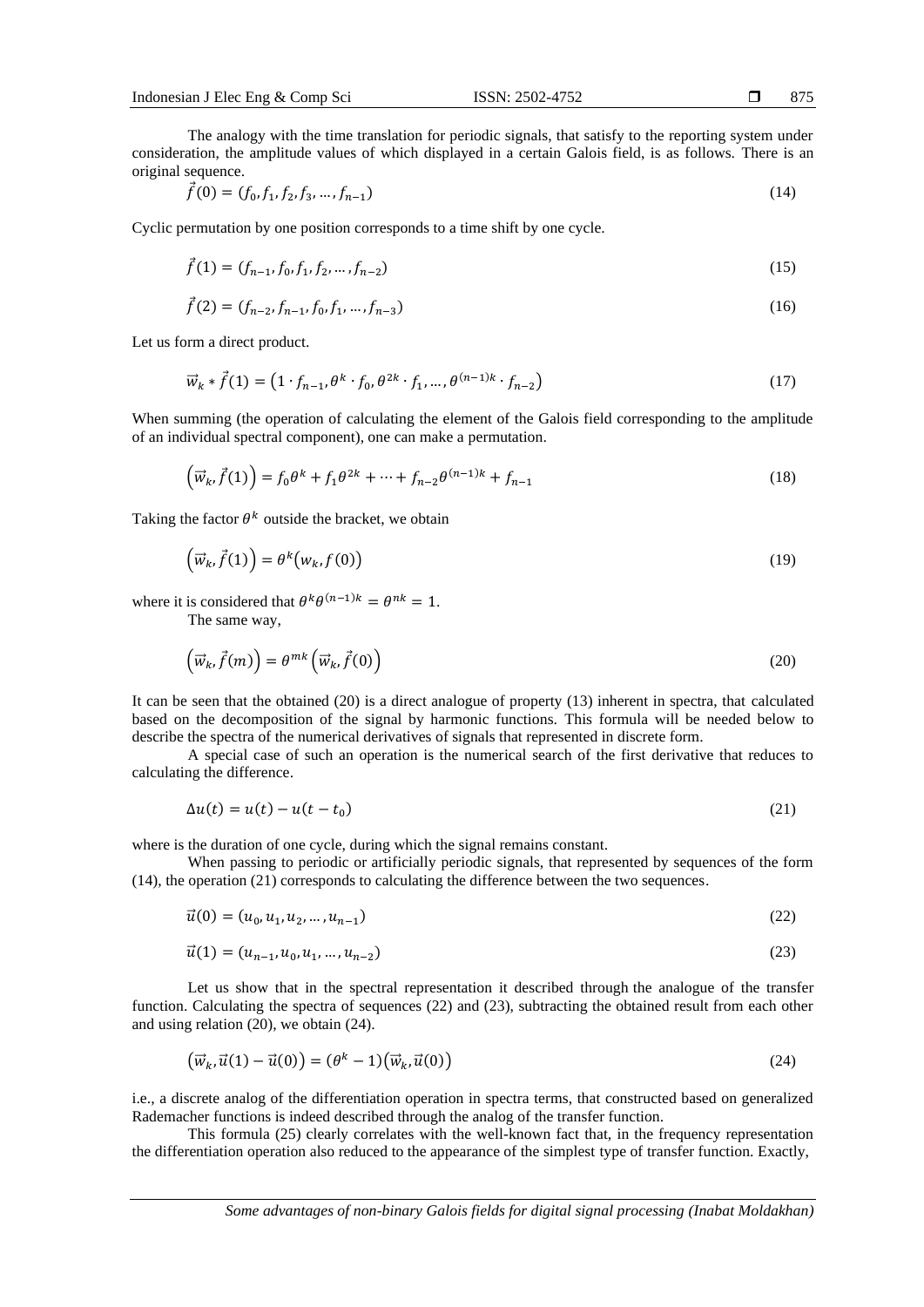The analogy with the time translation for periodic signals, that satisfy to the reporting system under consideration, the amplitude values of which displayed in a certain Galois field, is as follows. There is an original sequence.

$$
\vec{f}(0) = (f_0, f_1, f_2, f_3, \dots, f_{n-1})
$$
\n(14)

Cyclic permutation by one position corresponds to a time shift by one cycle.

$$
\vec{f}(1) = (f_{n-1}, f_0, f_1, f_2, \dots, f_{n-2})
$$
\n(15)

$$
\vec{f}(2) = (f_{n-2}, f_{n-1}, f_0, f_1, \dots, f_{n-3})
$$
\n(16)

Let us form a direct product.

$$
\vec{w}_k * \vec{f}(1) = (1 \cdot f_{n-1}, \theta^k \cdot f_0, \theta^{2k} \cdot f_1, \dots, \theta^{(n-1)k} \cdot f_{n-2})
$$
\n(17)

When summing (the operation of calculating the element of the Galois field corresponding to the amplitude of an individual spectral component), one can make a permutation.

$$
\left(\vec{w}_k, \vec{f}(1)\right) = f_0 \theta^k + f_1 \theta^{2k} + \dots + f_{n-2} \theta^{(n-1)k} + f_{n-1}
$$
\n(18)

Taking the factor  $\theta^k$  outside the bracket, we obtain

$$
\left(\vec{w}_k, \vec{f}(1)\right) = \theta^k \left(w_k, f(0)\right) \tag{19}
$$

where it is considered that  $\theta^k \theta^{(n-1)k} = \theta^{nk} = 1$ .

The same way,

$$
\left(\vec{w}_k, \vec{f}(m)\right) = \theta^{mk} \left(\vec{w}_k, \vec{f}(0)\right)
$$
\n(20)

It can be seen that the obtained (20) is a direct analogue of property (13) inherent in spectra, that calculated based on the decomposition of the signal by harmonic functions. This formula will be needed below to describe the spectra of the numerical derivatives of signals that represented in discrete form.

A special case of such an operation is the numerical search of the first derivative that reduces to calculating the difference.

$$
\Delta u(t) = u(t) - u(t - t_0) \tag{21}
$$

where is the duration of one cycle, during which the signal remains constant.

When passing to periodic or artificially periodic signals, that represented by sequences of the form (14), the operation (21) corresponds to calculating the difference between the two sequences.

$$
\vec{u}(0) = (u_0, u_1, u_2, \dots, u_{n-1})
$$
\n(22)

$$
\vec{u}(1) = (u_{n-1}, u_0, u_1, \dots, u_{n-2})
$$
\n(23)

Let us show that in the spectral representation it described through the analogue of the transfer function. Calculating the spectra of sequences (22) and (23), subtracting the obtained result from each other and using relation (20), we obtain (24).

$$
\left(\vec{w}_k, \vec{u}(1) - \vec{u}(0)\right) = \left(\theta^k - 1\right)\left(\vec{w}_k, \vec{u}(0)\right) \tag{24}
$$

i.e., a discrete analog of the differentiation operation in spectra terms, that constructed based on generalized Rademacher functions is indeed described through the analog of the transfer function.

This formula (25) clearly correlates with the well-known fact that, in the frequency representation the differentiation operation also reduced to the appearance of the simplest type of transfer function. Exactly,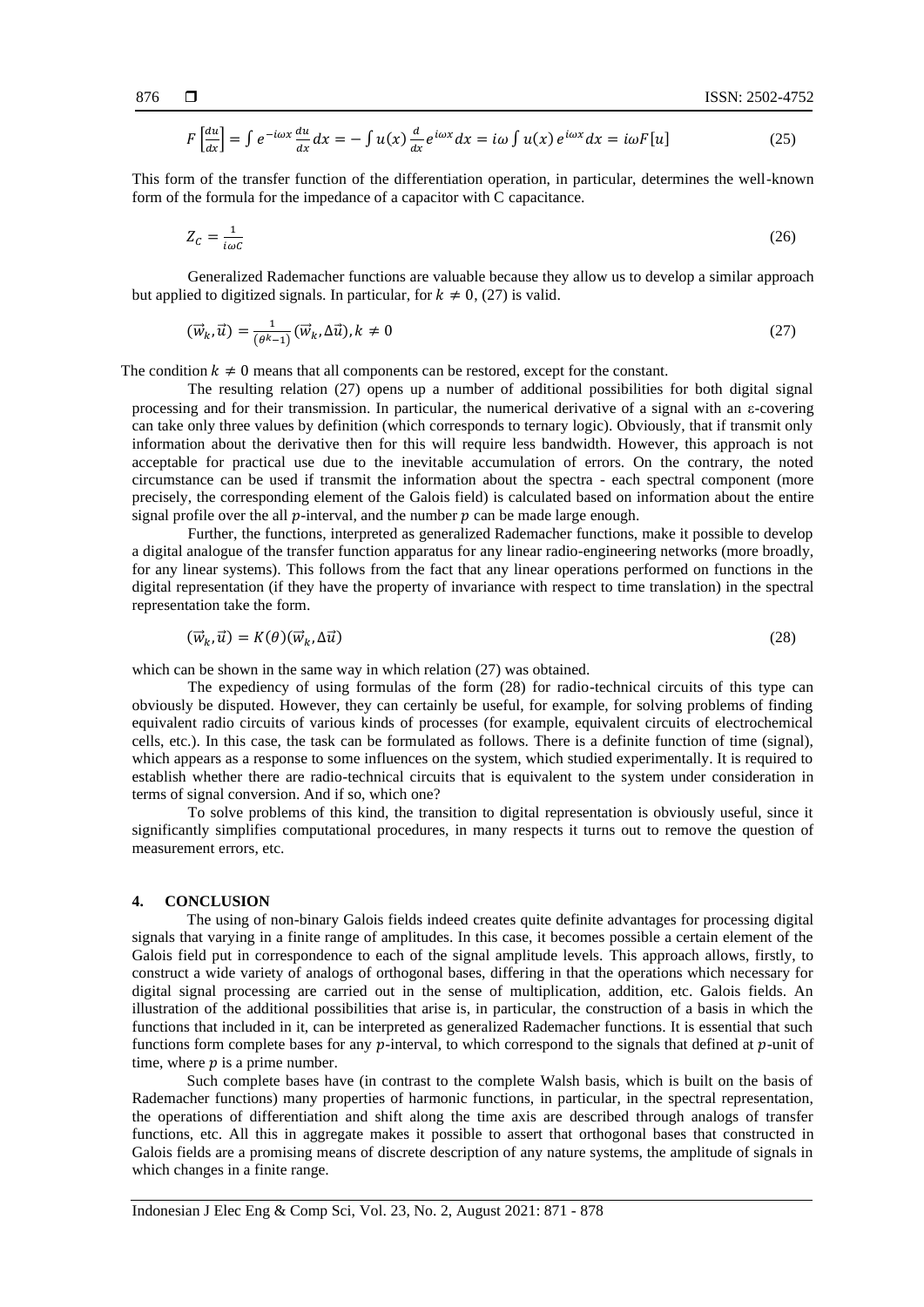$$
F\left[\frac{du}{dx}\right] = \int e^{-i\omega x} \frac{du}{dx} dx = -\int u(x) \frac{d}{dx} e^{i\omega x} dx = i\omega \int u(x) e^{i\omega x} dx = i\omega F[u]
$$
 (25)

This form of the transfer function of the differentiation operation, in particular, determines the well-known form of the formula for the impedance of a capacitor with C capacitance.

$$
Z_c = \frac{1}{i\omega c} \tag{26}
$$

Generalized Rademacher functions are valuable because they allow us to develop a similar approach but applied to digitized signals. In particular, for  $k \neq 0$ , (27) is valid.

$$
(\vec{w}_k, \vec{u}) = \frac{1}{(\theta^k - 1)} (\vec{w}_k, \Delta \vec{u}), k \neq 0
$$
\n<sup>(27)</sup>

The condition  $k \neq 0$  means that all components can be restored, except for the constant.

The resulting relation (27) opens up a number of additional possibilities for both digital signal processing and for their transmission. In particular, the numerical derivative of a signal with an  $\varepsilon$ -covering can take only three values by definition (which corresponds to ternary logic). Obviously, that if transmit only information about the derivative then for this will require less bandwidth. However, this approach is not acceptable for practical use due to the inevitable accumulation of errors. On the contrary, the noted circumstance can be used if transmit the information about the spectra - each spectral component (more precisely, the corresponding element of the Galois field) is calculated based on information about the entire signal profile over the all  $p$ -interval, and the number  $p$  can be made large enough.

Further, the functions, interpreted as generalized Rademacher functions, make it possible to develop a digital analogue of the transfer function apparatus for any linear radio-engineering networks (more broadly, for any linear systems). This follows from the fact that any linear operations performed on functions in the digital representation (if they have the property of invariance with respect to time translation) in the spectral representation take the form.

$$
(\vec{w}_k, \vec{u}) = K(\theta)(\vec{w}_k, \Delta \vec{u})
$$
\n(28)

which can be shown in the same way in which relation (27) was obtained.

The expediency of using formulas of the form (28) for radio-technical circuits of this type can obviously be disputed. However, they can certainly be useful, for example, for solving problems of finding equivalent radio circuits of various kinds of processes (for example, equivalent circuits of electrochemical cells, etc.). In this case, the task can be formulated as follows. There is a definite function of time (signal), which appears as a response to some influences on the system, which studied experimentally. It is required to establish whether there are radio-technical circuits that is equivalent to the system under consideration in terms of signal conversion. And if so, which one?

To solve problems of this kind, the transition to digital representation is obviously useful, since it significantly simplifies computational procedures, in many respects it turns out to remove the question of measurement errors, etc.

#### **4. CONCLUSION**

The using of non-binary Galois fields indeed creates quite definite advantages for processing digital signals that varying in a finite range of amplitudes. In this case, it becomes possible a certain element of the Galois field put in correspondence to each of the signal amplitude levels. This approach allows, firstly, to construct a wide variety of analogs of orthogonal bases, differing in that the operations which necessary for digital signal processing are carried out in the sense of multiplication, addition, etc. Galois fields. An illustration of the additional possibilities that arise is, in particular, the construction of a basis in which the functions that included in it, can be interpreted as generalized Rademacher functions. It is essential that such functions form complete bases for any  $p$ -interval, to which correspond to the signals that defined at  $p$ -unit of time, where  $p$  is a prime number.

Such complete bases have (in contrast to the complete Walsh basis, which is built on the basis of Rademacher functions) many properties of harmonic functions, in particular, in the spectral representation, the operations of differentiation and shift along the time axis are described through analogs of transfer functions, etc. All this in aggregate makes it possible to assert that orthogonal bases that constructed in Galois fields are a promising means of discrete description of any nature systems, the amplitude of signals in which changes in a finite range.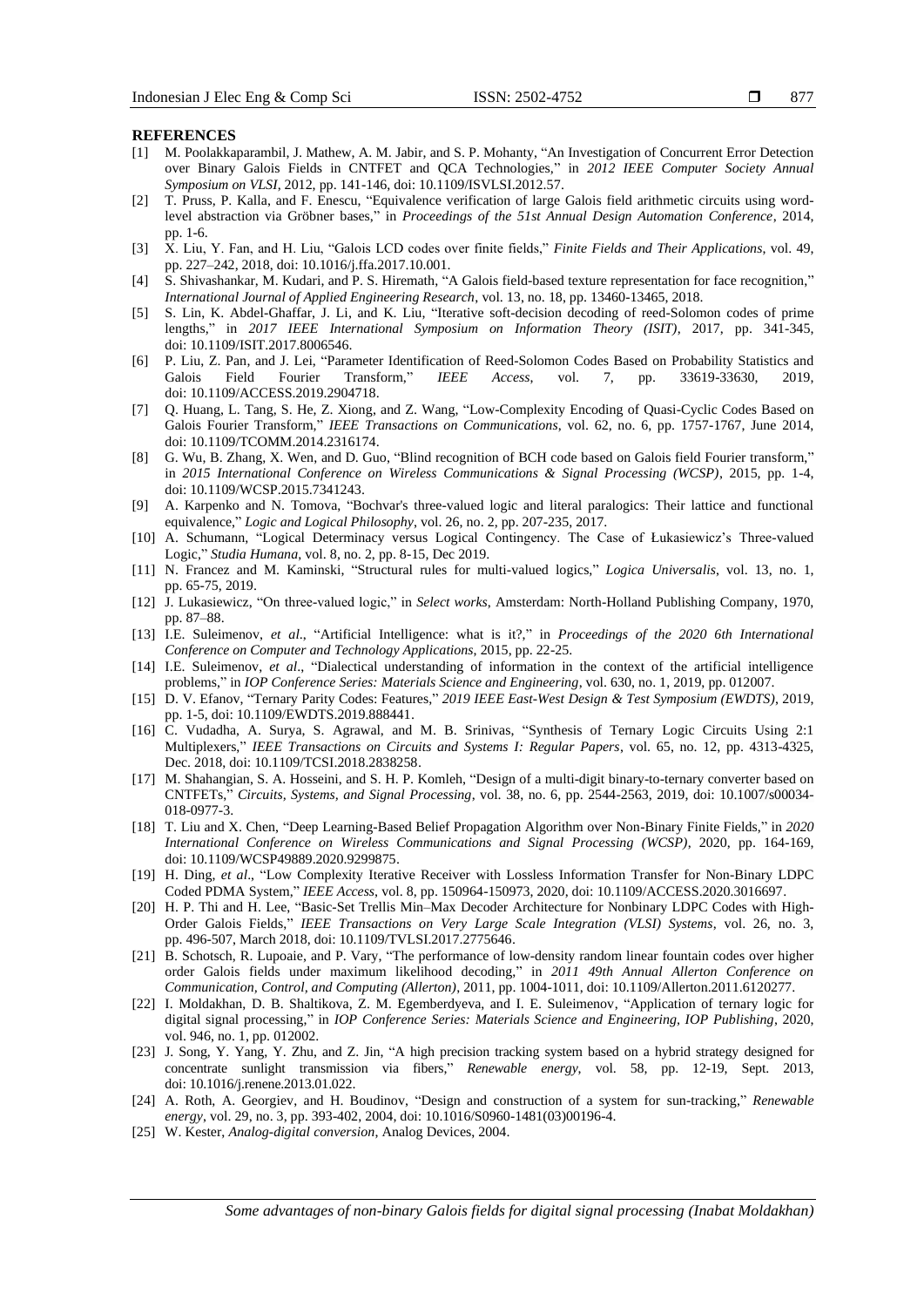#### **REFERENCES**

- [1] M. Poolakkaparambil, J. Mathew, A. M. Jabir, and S. P. Mohanty, "An Investigation of Concurrent Error Detection over Binary Galois Fields in CNTFET and QCA Technologies," in *2012 IEEE Computer Society Annual Symposium on VLSI*, 2012, pp. 141-146, doi: 10.1109/ISVLSI.2012.57.
- [2] T. Pruss, P. Kalla, and F. Enescu, "Equivalence verification of large Galois field arithmetic circuits using wordlevel abstraction via Gröbner bases," in *Proceedings of the 51st Annual Design Automation Conference*, 2014, pp. 1-6.
- [3] X. Liu, Y. Fan, and H. Liu, "Galois LCD codes over finite fields," *Finite Fields and Their Applications*, vol. 49, pp. 227–242, 2018, doi: 10.1016/j.ffa.2017.10.001.
- [4] S. Shivashankar, M. Kudari, and P. S. Hiremath, "A Galois field-based texture representation for face recognition," *International Journal of Applied Engineering Research*, vol. 13, no. 18, pp. 13460-13465, 2018.
- [5] S. Lin, K. Abdel-Ghaffar, J. Li, and K. Liu, "Iterative soft-decision decoding of reed-Solomon codes of prime lengths," in *2017 IEEE International Symposium on Information Theory (ISIT)*, 2017, pp. 341-345, doi: 10.1109/ISIT.2017.8006546.
- [6] P. Liu, Z. Pan, and J. Lei, "Parameter Identification of Reed-Solomon Codes Based on Probability Statistics and Galois Field Fourier Transform," *IEEE Access*, vol. 7, pp. 33619-33630, 2019, doi: 10.1109/ACCESS.2019.2904718.
- [7] Q. Huang, L. Tang, S. He, Z. Xiong, and Z. Wang, "Low-Complexity Encoding of Quasi-Cyclic Codes Based on Galois Fourier Transform," *IEEE Transactions on Communications*, vol. 62, no. 6, pp. 1757-1767, June 2014, doi: 10.1109/TCOMM.2014.2316174.
- [8] G. Wu, B. Zhang, X. Wen, and D. Guo, "Blind recognition of BCH code based on Galois field Fourier transform," in *2015 International Conference on Wireless Communications & Signal Processing (WCSP)*, 2015, pp. 1-4, doi: 10.1109/WCSP.2015.7341243.
- [9] A. Karpenko and N. Tomova, "Bochvar's three-valued logic and literal paralogics: Their lattice and functional equivalence," *Logic and Logical Philosophy*, vol. 26, no. 2, pp. 207-235, 2017.
- [10] A. Schumann, "Logical Determinacy versus Logical Contingency. The Case of Łukasiewicz's Three-valued Logic," *Studia Humana*, vol. 8, no. 2, pp. 8-15, Dec 2019.
- [11] N. Francez and M. Kaminski, "Structural rules for multi-valued logics," *Logica Universalis*, vol. 13, no. 1, pp. 65-75, 2019.
- [12] J. Lukasiewicz, "On three-valued logic," in *Select works*, Amsterdam: North-Holland Publishing Company, 1970, pp. 87–88.
- [13] I.E. Suleimenov, *et al*., "Artificial Intelligence: what is it?," in *Proceedings of the 2020 6th International Conference on Computer and Technology Applications*, 2015, pp. 22-25.
- [14] I.E. Suleimenov, *et al*., "Dialectical understanding of information in the context of the artificial intelligence problems," in *IOP Conference Series: Materials Science and Engineering*, vol. 630, no. 1, 2019, pp. 012007.
- [15] D. V. Efanov, "Ternary Parity Codes: Features," *2019 IEEE East-West Design & Test Symposium (EWDTS)*, 2019, pp. 1-5, doi: 10.1109/EWDTS.2019.888441.
- [16] C. Vudadha, A. Surya, S. Agrawal, and M. B. Srinivas, "Synthesis of Ternary Logic Circuits Using 2:1 Multiplexers," *IEEE Transactions on Circuits and Systems I: Regular Papers*, vol. 65, no. 12, pp. 4313-4325, Dec. 2018, doi: 10.1109/TCSI.2018.2838258.
- [17] M. Shahangian, S. A. Hosseini, and S. H. P. Komleh, "Design of a multi-digit binary-to-ternary converter based on CNTFETs," *Circuits, Systems, and Signal Processing*, vol. 38, no. 6, pp. 2544-2563, 2019, doi: [10.1007/s00034-](https://doi.org/10.1007/s00034-018-0977-3) [018-0977-3.](https://doi.org/10.1007/s00034-018-0977-3)
- [18] T. Liu and X. Chen, "Deep Learning-Based Belief Propagation Algorithm over Non-Binary Finite Fields," in *2020 International Conference on Wireless Communications and Signal Processing (WCSP)*, 2020, pp. 164-169, doi: 10.1109/WCSP49889.2020.9299875.
- [19] H. Ding, *et al*., "Low Complexity Iterative Receiver with Lossless Information Transfer for Non-Binary LDPC Coded PDMA System," *IEEE Access*, vol. 8, pp. 150964-150973, 2020, doi: 10.1109/ACCESS.2020.3016697.
- [20] H. P. Thi and H. Lee, "Basic-Set Trellis Min–Max Decoder Architecture for Nonbinary LDPC Codes with High-Order Galois Fields," *IEEE Transactions on Very Large Scale Integration (VLSI) Systems*, vol. 26, no. 3, pp. 496-507, March 2018, doi: 10.1109/TVLSI.2017.2775646.
- [21] B. Schotsch, R. Lupoaie, and P. Vary, "The performance of low-density random linear fountain codes over higher order Galois fields under maximum likelihood decoding," in *2011 49th Annual Allerton Conference on Communication, Control, and Computing (Allerton)*, 2011, pp. 1004-1011, doi: 10.1109/Allerton.2011.6120277.
- [22] I. Moldakhan, D. B. Shaltikova, Z. M. Egemberdyeva, and I. E. Suleimenov, "Application of ternary logic for digital signal processing," in *IOP Conference Series: Materials Science and Engineering, IOP Publishing*, 2020, vol. 946, no. 1, pp. 012002.
- [23] J. Song, Y. Yang, Y. Zhu, and Z. Jin, "A high precision tracking system based on a hybrid strategy designed for concentrate sunlight transmission via fibers," *Renewable energy*, vol. 58, pp. 12-19, Sept. 2013, doi[: 10.1016/j.renene.2013.01.022.](https://doi.org/10.1016/j.renene.2013.01.022)
- [24] A. Roth, A. Georgiev, and H. Boudinov, "Design and construction of a system for sun-tracking," *Renewable energy*, vol. 29, no. 3, pp. 393-402, 2004, doi: [10.1016/S0960-1481\(03\)00196-4.](https://doi.org/10.1016/S0960-1481(03)00196-4)
- [25] W. Kester, *Analog-digital conversion*, Analog Devices, 2004.